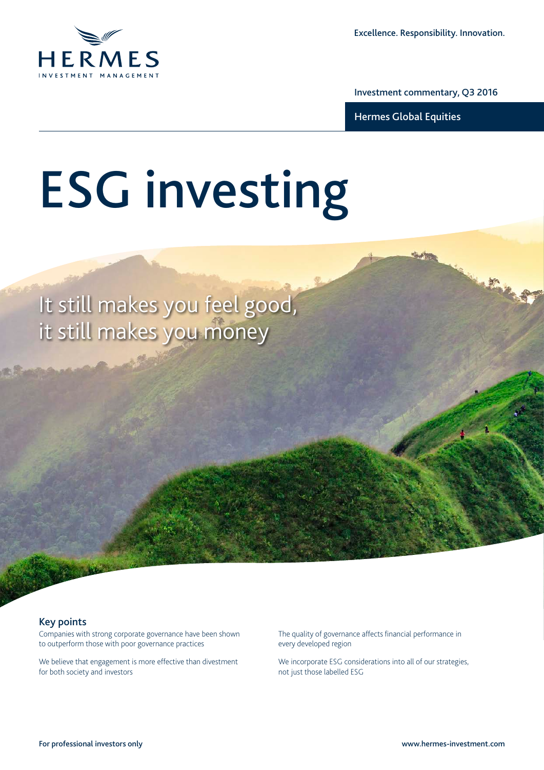

Investment commentary, Q3 2016

Hermes Global Equities

# ESG investing

It still makes you feel good, it still makes you money

# Key points

Companies with strong corporate governance have been shown to outperform those with poor governance practices

We believe that engagement is more effective than divestment for both society and investors

The quality of governance affects financial performance in every developed region

We incorporate ESG considerations into all of our strategies, not just those labelled ESG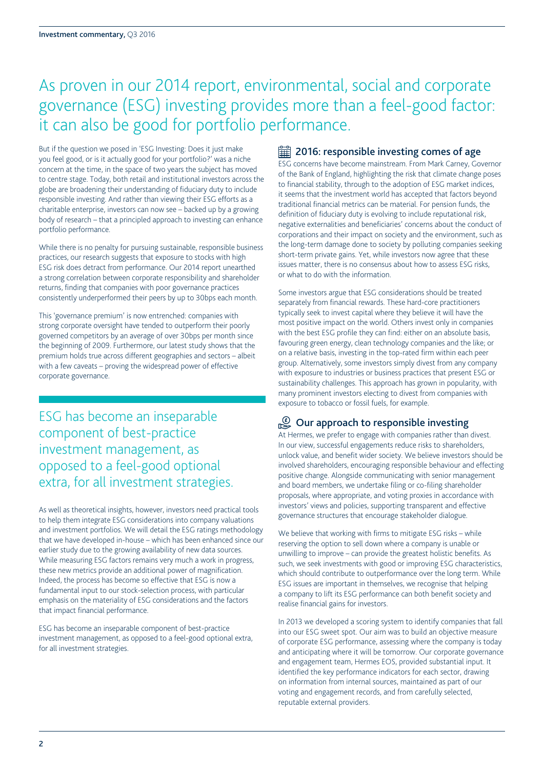# As proven in our 2014 report, environmental, social and corporate governance (ESG) investing provides more than a feel-good factor: it can also be good for portfolio performance.

But if the question we posed in 'ESG Investing: Does it just make you feel good, or is it actually good for your portfolio?' was a niche concern at the time, in the space of two years the subject has moved to centre stage. Today, both retail and institutional investors across the globe are broadening their understanding of fiduciary duty to include responsible investing. And rather than viewing their ESG efforts as a charitable enterprise, investors can now see – backed up by a growing body of research – that a principled approach to investing can enhance portfolio performance.

While there is no penalty for pursuing sustainable, responsible business practices, our research suggests that exposure to stocks with high ESG risk does detract from performance. Our 2014 report unearthed a strong correlation between corporate responsibility and shareholder returns, finding that companies with poor governance practices consistently underperformed their peers by up to 30bps each month.

This 'governance premium' is now entrenched: companies with strong corporate oversight have tended to outperform their poorly governed competitors by an average of over 30bps per month since the beginning of 2009. Furthermore, our latest study shows that the premium holds true across different geographies and sectors – albeit with a few caveats – proving the widespread power of effective corporate governance.

ESG has become an inseparable component of best-practice investment management, as opposed to a feel-good optional extra, for all investment strategies.

As well as theoretical insights, however, investors need practical tools to help them integrate ESG considerations into company valuations and investment portfolios. We will detail the ESG ratings methodology that we have developed in-house – which has been enhanced since our earlier study due to the growing availability of new data sources. While measuring ESG factors remains very much a work in progress, these new metrics provide an additional power of magnification. Indeed, the process has become so effective that ESG is now a fundamental input to our stock-selection process, with particular emphasis on the materiality of ESG considerations and the factors that impact financial performance.

ESG has become an inseparable component of best-practice investment management, as opposed to a feel-good optional extra, for all investment strategies.

# **<u></u> 2016: responsible investing comes of age**

ESG concerns have become mainstream. From Mark Carney, Governor of the Bank of England, highlighting the risk that climate change poses to financial stability, through to the adoption of ESG market indices, it seems that the investment world has accepted that factors beyond traditional financial metrics can be material. For pension funds, the definition of fiduciary duty is evolving to include reputational risk, negative externalities and beneficiaries' concerns about the conduct of corporations and their impact on society and the environment, such as the long-term damage done to society by polluting companies seeking short-term private gains. Yet, while investors now agree that these issues matter, there is no consensus about how to assess ESG risks, or what to do with the information.

Some investors argue that ESG considerations should be treated separately from financial rewards. These hard-core practitioners typically seek to invest capital where they believe it will have the most positive impact on the world. Others invest only in companies with the best ESG profile they can find: either on an absolute basis, favouring green energy, clean technology companies and the like; or on a relative basis, investing in the top-rated firm within each peer group. Alternatively, some investors simply divest from any company with exposure to industries or business practices that present ESG or sustainability challenges. This approach has grown in popularity, with many prominent investors electing to divest from companies with exposure to tobacco or fossil fuels, for example.

# $\mathbb{C}$  Our approach to responsible investing

At Hermes, we prefer to engage with companies rather than divest. In our view, successful engagements reduce risks to shareholders, unlock value, and benefit wider society. We believe investors should be involved shareholders, encouraging responsible behaviour and effecting positive change. Alongside communicating with senior management and board members, we undertake filing or co-filing shareholder proposals, where appropriate, and voting proxies in accordance with investors' views and policies, supporting transparent and effective governance structures that encourage stakeholder dialogue.

We believe that working with firms to mitigate ESG risks – while reserving the option to sell down where a company is unable or unwilling to improve – can provide the greatest holistic benefits. As such, we seek investments with good or improving ESG characteristics, which should contribute to outperformance over the long term. While ESG issues are important in themselves, we recognise that helping a company to lift its ESG performance can both benefit society and realise financial gains for investors.

In 2013 we developed a scoring system to identify companies that fall into our ESG sweet spot. Our aim was to build an objective measure of corporate ESG performance, assessing where the company is today and anticipating where it will be tomorrow. Our corporate governance and engagement team, Hermes EOS, provided substantial input. It identified the key performance indicators for each sector, drawing on information from internal sources, maintained as part of our voting and engagement records, and from carefully selected, reputable external providers.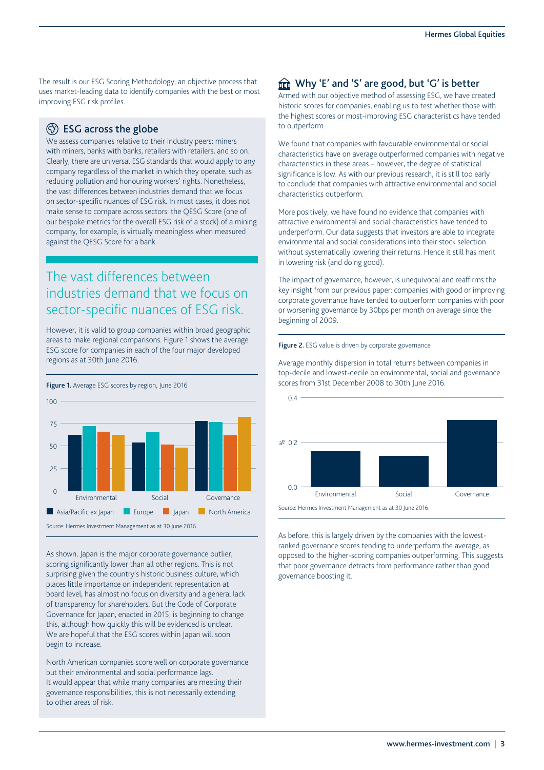The result is our ESG Scoring Methodology, an objective process that uses market-leading data to identify companies with the best or most improving ESG risk profiles.

# **(5) ESG across the globe**

We assess companies relative to their industry peers: miners with miners, banks with banks, retailers with retailers, and so on. Clearly, there are universal ESG standards that would apply to any company regardless of the market in which they operate, such as reducing pollution and honouring workers' rights. Nonetheless, the vast differences between industries demand that we focus on sector-specific nuances of ESG risk. In most cases, it does not make sense to compare across sectors: the QESG Score (one of our bespoke metrics for the overall ESG risk of a stock) of a mining company, for example, is virtually meaningless when measured against the QESG Score for a bank.

# The vast differences between industries demand that we focus on sector-specific nuances of ESG risk.

However, it is valid to group companies within broad geographic areas to make regional comparisons. Figure 1 shows the average ESG score for companies in each of the four major developed regions as at 30th June 2016.



As shown, Japan is the major corporate governance outlier, scoring significantly lower than all other regions. This is not surprising given the country's historic business culture, which places little importance on independent representation at board level, has almost no focus on diversity and a general lack of transparency for shareholders. But the Code of Corporate Governance for Japan, enacted in 2015, is beginning to change this, although how quickly this will be evidenced is unclear. We are hopeful that the ESG scores within Japan will soon begin to increase.

North American companies score well on corporate governance but their environmental and social performance lags. It would appear that while many companies are meeting their governance responsibilities, this is not necessarily extending to other areas of risk.

# $m_{\text{int}}$  Why 'E' and 'S' are good, but 'G' is better

Armed with our objective method of assessing ESG, we have created historic scores for companies, enabling us to test whether those with the highest scores or most-improving ESG characteristics have tended to outperform.

We found that companies with favourable environmental or social characteristics have on average outperformed companies with negative characteristics in these areas – however, the degree of statistical significance is low. As with our previous research, it is still too early to conclude that companies with attractive environmental and social characteristics outperform.

More positively, we have found no evidence that companies with attractive environmental and social characteristics have tended to underperform. Our data suggests that investors are able to integrate environmental and social considerations into their stock selection without systematically lowering their returns. Hence it still has merit in lowering risk (and doing good).

The impact of governance, however, is unequivocal and reaffirms the key insight from our previous paper: companies with good or improving corporate governance have tended to outperform companies with poor or worsening governance by 30bps per month on average since the beginning of 2009.

### Figure 2. ESG value is driven by corporate governance

Average monthly dispersion in total returns between companies in top-decile and lowest-decile on environmental, social and governance scores from 31st December 2008 to 30th June 2016.



Source: Hermes Investment Management as at 30 June 2016.

As before, this is largely driven by the companies with the lowestranked governance scores tending to underperform the average, as opposed to the higher-scoring companies outperforming. This suggests that poor governance detracts from performance rather than good governance boosting it.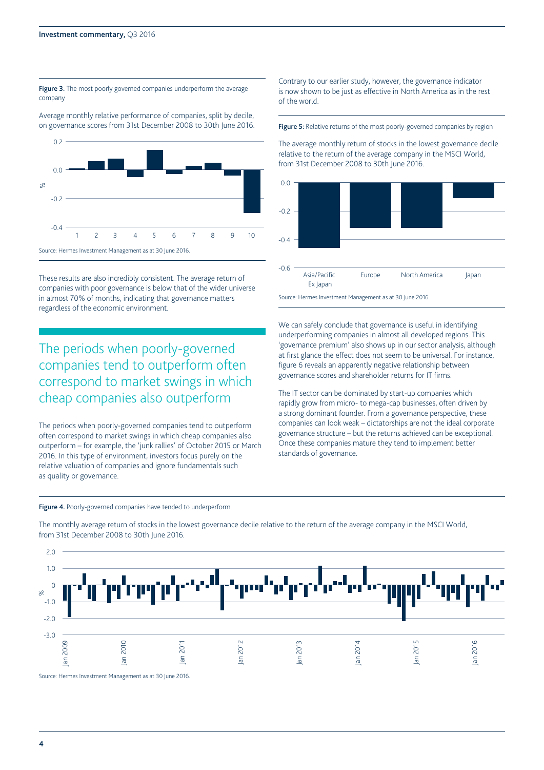0.2

#### Figure 3. The most poorly governed companies underperform the average company

Average monthly relative performance of companies, split by decile, on governance scores from 31st December 2008 to 30th June 2016.



These results are also incredibly consistent. The average return of companies with poor governance is below that of the wider universe in almost 70% of months, indicating that governance matters regardless of the economic environment.

# The periods when poorly-governed companies tend to outperform often correspond to market swings in which cheap companies also outperform

The periods when poorly-governed companies tend to outperform often correspond to market swings in which cheap companies also outperform – for example, the 'junk rallies' of October 2015 or March 2016. In this type of environment, investors focus purely on the relative valuation of companies and ignore fundamentals such as quality or governance.

#### Figure 4. Poorly-governed companies have tended to underperform

from 31st December 2008 to 30th June 2016. -0.6  $-0.4$  $-0.2$  $0.0$ Asia/Pacific Europe North America Japan

Ex Japan

Source: Hermes Investment Management as at 30 June 2016.

of the world.

We can safely conclude that governance is useful in identifying underperforming companies in almost all developed regions. This 'governance premium' also shows up in our sector analysis, although at first glance the effect does not seem to be universal. For instance, figure 6 reveals an apparently negative relationship between governance scores and shareholder returns for IT firms.

Contrary to our earlier study, however, the governance indicator is now shown to be just as effective in North America as in the rest

Figure 5: Relative returns of the most poorly-governed companies by region

The average monthly return of stocks in the lowest governance decile relative to the return of the average company in the MSCI World,

The IT sector can be dominated by start-up companies which rapidly grow from micro- to mega-cap businesses, often driven by a strong dominant founder. From a governance perspective, these companies can look weak – dictatorships are not the ideal corporate governance structure – but the returns achieved can be exceptional. Once these companies mature they tend to implement better standards of governance.



The monthly average return of stocks in the lowest governance decile relative to the return of the average company in the MSCI World, from 31st December 2008 to 30th June 2016.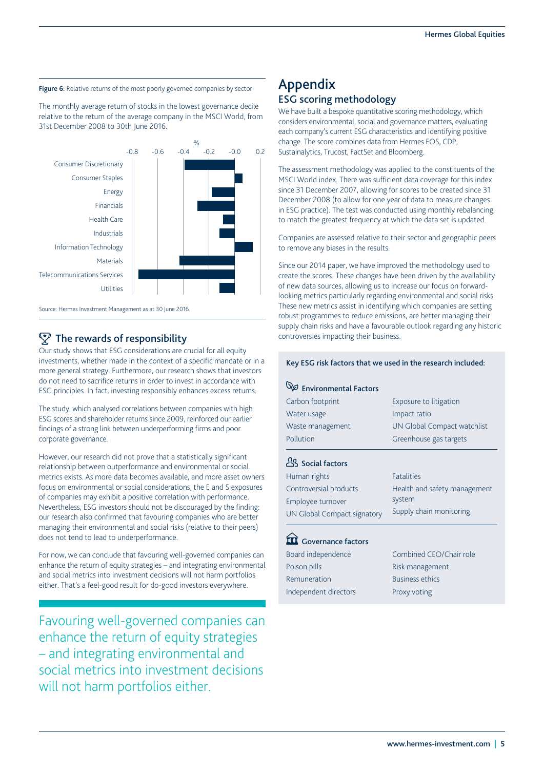

The monthly average return of stocks in the lowest governance decile relative to the return of the average company in the MSCI World, from 31st December 2008 to 30th June 2016.



Source: Hermes Investment Management as at 30 June 2016.

# $\sqrt{\ }$  The rewards of responsibility

Our study shows that ESG considerations are crucial for all equity investments, whether made in the context of a specific mandate or in a more general strategy. Furthermore, our research shows that investors do not need to sacrifice returns in order to invest in accordance with ESG principles. In fact, investing responsibly enhances excess returns.

The study, which analysed correlations between companies with high ESG scores and shareholder returns since 2009, reinforced our earlier findings of a strong link between underperforming firms and poor corporate governance.

However, our research did not prove that a statistically significant relationship between outperformance and environmental or social metrics exists. As more data becomes available, and more asset owners focus on environmental or social considerations, the E and S exposures of companies may exhibit a positive correlation with performance. Nevertheless, ESG investors should not be discouraged by the finding: our research also confirmed that favouring companies who are better managing their environmental and social risks (relative to their peers) does not tend to lead to underperformance.

For now, we can conclude that favouring well-governed companies can enhance the return of equity strategies – and integrating environmental and social metrics into investment decisions will not harm portfolios either. That's a feel-good result for do-good investors everywhere.

Favouring well-governed companies can enhance the return of equity strategies – and integrating environmental and social metrics into investment decisions will not harm portfolios either.

# Appendix ESG scoring methodology

We have built a bespoke quantitative scoring methodology, which considers environmental, social and governance matters, evaluating each company's current ESG characteristics and identifying positive change. The score combines data from Hermes EOS, CDP, Sustainalytics, Trucost, FactSet and Bloomberg.

The assessment methodology was applied to the constituents of the MSCI World index. There was sufficient data coverage for this index since 31 December 2007, allowing for scores to be created since 31 December 2008 (to allow for one year of data to measure changes in ESG practice). The test was conducted using monthly rebalancing, to match the greatest frequency at which the data set is updated.

Companies are assessed relative to their sector and geographic peers to remove any biases in the results.

Since our 2014 paper, we have improved the methodology used to create the scores. These changes have been driven by the availability of new data sources, allowing us to increase our focus on forwardlooking metrics particularly regarding environmental and social risks. These new metrics assist in identifying which companies are setting robust programmes to reduce emissions, are better managing their supply chain risks and have a favourable outlook regarding any historic controversies impacting their business.

#### Key ESG risk factors that we used in the research included:

# **Q**<sup> $\varnothing$ </sup> Fnvironmental Factors

| Exposure to litigation       |
|------------------------------|
| Impact ratio                 |
| UN Global Compact watchlist  |
| Greenhouse gas targets       |
|                              |
| <b>Fatalities</b>            |
| Health and safety management |
| system                       |
| Supply chain monitoring      |
|                              |
|                              |

# **III** Governance factors

| Combined CEO/Chair role |
|-------------------------|
| Risk management         |
| <b>Business ethics</b>  |
| Proxy voting            |
|                         |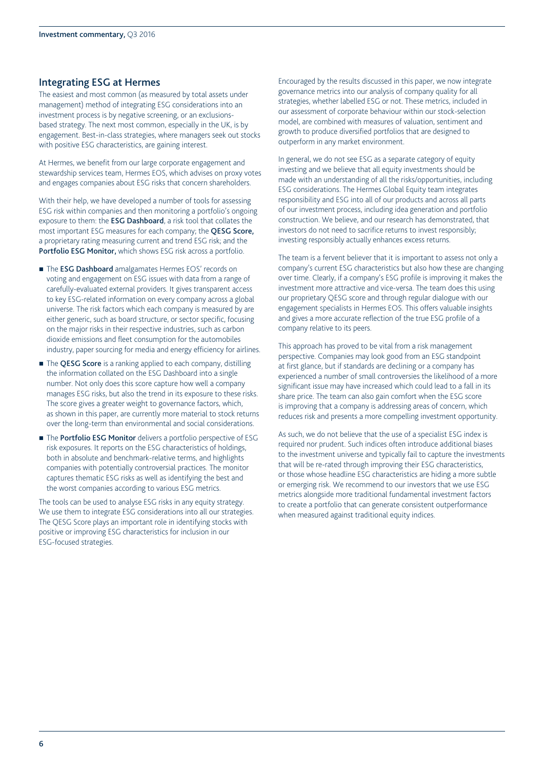## Integrating ESG at Hermes

The easiest and most common (as measured by total assets under management) method of integrating ESG considerations into an investment process is by negative screening, or an exclusionsbased strategy. The next most common, especially in the UK, is by engagement. Best-in-class strategies, where managers seek out stocks with positive ESG characteristics, are gaining interest.

At Hermes, we benefit from our large corporate engagement and stewardship services team, Hermes EOS, which advises on proxy votes and engages companies about ESG risks that concern shareholders.

With their help, we have developed a number of tools for assessing ESG risk within companies and then monitoring a portfolio's ongoing exposure to them: the ESG Dashboard, a risk tool that collates the most important ESG measures for each company; the QESG Score, a proprietary rating measuring current and trend ESG risk; and the Portfolio ESG Monitor, which shows ESG risk across a portfolio.

- The **ESG Dashboard** amalgamates Hermes EOS' records on voting and engagement on ESG issues with data from a range of carefully-evaluated external providers. It gives transparent access to key ESG-related information on every company across a global universe. The risk factors which each company is measured by are either generic, such as board structure, or sector specific, focusing on the major risks in their respective industries, such as carbon dioxide emissions and fleet consumption for the automobiles industry, paper sourcing for media and energy efficiency for airlines.
- The QESG Score is a ranking applied to each company, distilling the information collated on the ESG Dashboard into a single number. Not only does this score capture how well a company manages ESG risks, but also the trend in its exposure to these risks. The score gives a greater weight to governance factors, which, as shown in this paper, are currently more material to stock returns over the long-term than environmental and social considerations.
- The Portfolio ESG Monitor delivers a portfolio perspective of ESG risk exposures. It reports on the ESG characteristics of holdings, both in absolute and benchmark-relative terms, and highlights companies with potentially controversial practices. The monitor captures thematic ESG risks as well as identifying the best and the worst companies according to various ESG metrics.

The tools can be used to analyse ESG risks in any equity strategy. We use them to integrate ESG considerations into all our strategies. The QESG Score plays an important role in identifying stocks with positive or improving ESG characteristics for inclusion in our ESG-focused strategies.

Encouraged by the results discussed in this paper, we now integrate governance metrics into our analysis of company quality for all strategies, whether labelled ESG or not. These metrics, included in our assessment of corporate behaviour within our stock-selection model, are combined with measures of valuation, sentiment and growth to produce diversified portfolios that are designed to outperform in any market environment.

In general, we do not see ESG as a separate category of equity investing and we believe that all equity investments should be made with an understanding of all the risks/opportunities, including ESG considerations. The Hermes Global Equity team integrates responsibility and ESG into all of our products and across all parts of our investment process, including idea generation and portfolio construction. We believe, and our research has demonstrated, that investors do not need to sacrifice returns to invest responsibly; investing responsibly actually enhances excess returns.

The team is a fervent believer that it is important to assess not only a company's current ESG characteristics but also how these are changing over time. Clearly, if a company's ESG profile is improving it makes the investment more attractive and vice-versa. The team does this using our proprietary QESG score and through regular dialogue with our engagement specialists in Hermes EOS. This offers valuable insights and gives a more accurate reflection of the true ESG profile of a company relative to its peers.

This approach has proved to be vital from a risk management perspective. Companies may look good from an ESG standpoint at first glance, but if standards are declining or a company has experienced a number of small controversies the likelihood of a more significant issue may have increased which could lead to a fall in its share price. The team can also gain comfort when the ESG score is improving that a company is addressing areas of concern, which reduces risk and presents a more compelling investment opportunity.

As such, we do not believe that the use of a specialist ESG index is required nor prudent. Such indices often introduce additional biases to the investment universe and typically fail to capture the investments that will be re-rated through improving their ESG characteristics, or those whose headline ESG characteristics are hiding a more subtle or emerging risk. We recommend to our investors that we use ESG metrics alongside more traditional fundamental investment factors to create a portfolio that can generate consistent outperformance when measured against traditional equity indices.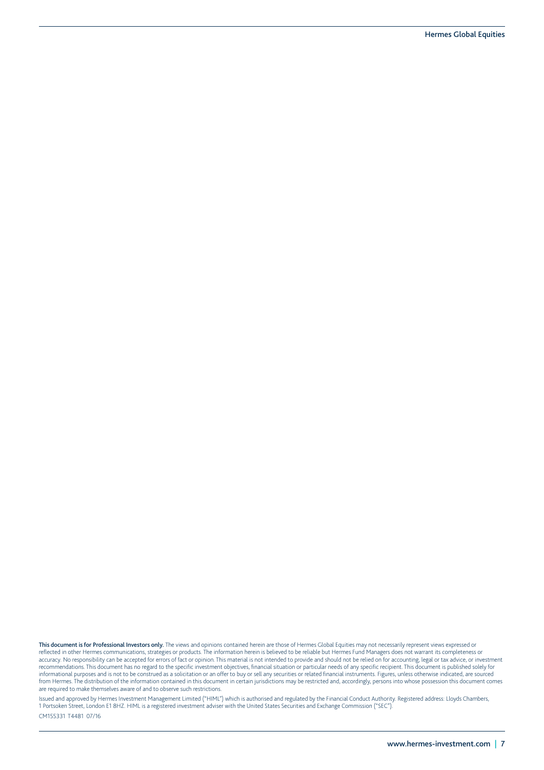**This document is for Professional Investors only.** The views and opinions contained herein are those of Hermes Global Equities may not necessarily represent views expressed or<br>reflected in other Hermes communications, str accuracy. No responsibility can be accepted for errors of fact or opinion. This material is not intended to provide and should not be relied on for accounting, legal or tax advice, or investment recommendations. This document has no regard to the specific investment objectives, financial situation or particular needs of any specific recipient. This document is published solely for informational purposes and is not to be construed as a solicitation or an offer to buy or sell any securities or related financial instruments. Figures, unless otherwise indicated, are sourced from Hermes. The distribution of the information contained in this document in certain jurisdictions may be restricted and, accordingly, persons into whose possession this document comes are required to make themselves aware of and to observe such restrictions.

Issued and approved by Hermes Investment Management Limited ("HIML") which is authorised and regulated by the Financial Conduct Authority. Registered address: Lloyds Chambers, 1 Portsoken Street, London E1 8HZ. HIML is a registered investment adviser with the United States Securities and Exchange Commission ("SEC"). CM155331 T4481 07/16